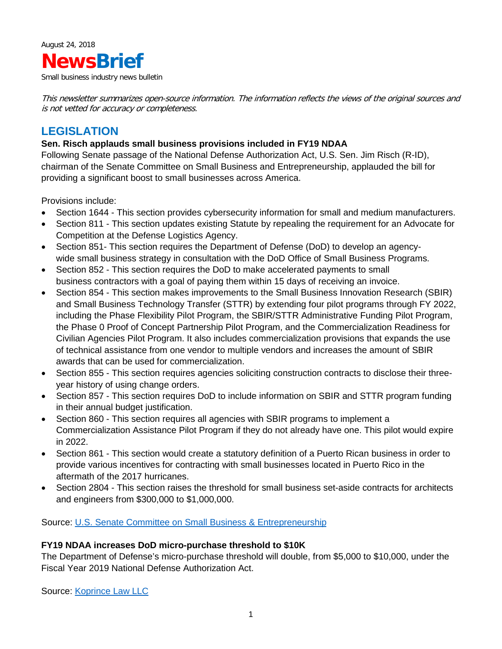

Small business industry news bulletin

This newsletter summarizes open-source information. The information reflects the views of the original sources and is not vetted for accuracy or completeness.

# **LEGISLATION**

## **Sen. Risch applauds small business provisions included in FY19 NDAA**

Following Senate passage of the National Defense Authorization Act, U.S. Sen. Jim Risch (R-ID), chairman of the Senate Committee on Small Business and Entrepreneurship, applauded the bill for providing a significant boost to small businesses across America.

Provisions include:

- Section 1644 This section provides cybersecurity information for small and medium manufacturers.
- Section 811 This section updates existing Statute by repealing the requirement for an Advocate for Competition at the Defense Logistics Agency.
- Section 851- This section requires the Department of Defense (DoD) to develop an agencywide small business strategy in consultation with the DoD Office of Small Business Programs.
- Section 852 This section requires the DoD to make accelerated payments to small business contractors with a goal of paying them within 15 days of receiving an invoice.
- Section 854 This section makes improvements to the Small Business Innovation Research (SBIR) and Small Business Technology Transfer (STTR) by extending four pilot programs through FY 2022, including the Phase Flexibility Pilot Program, the SBIR/STTR Administrative Funding Pilot Program, the Phase 0 Proof of Concept Partnership Pilot Program, and the Commercialization Readiness for Civilian Agencies Pilot Program. It also includes commercialization provisions that expands the use of technical assistance from one vendor to multiple vendors and increases the amount of SBIR awards that can be used for commercialization.
- Section 855 This section requires agencies soliciting construction contracts to disclose their threeyear history of using change orders.
- Section 857 This section requires DoD to include information on SBIR and STTR program funding in their annual budget justification.
- Section 860 This section requires all agencies with SBIR programs to implement a Commercialization Assistance Pilot Program if they do not already have one. This pilot would expire in 2022.
- Section 861 This section would create a statutory definition of a Puerto Rican business in order to provide various incentives for contracting with small businesses located in Puerto Rico in the aftermath of the 2017 hurricanes.
- Section 2804 This section raises the threshold for small business set-aside contracts for architects and engineers from \$300,000 to \$1,000,000.

Source: [U.S. Senate Committee on Small](https://www.sbc.senate.gov/public/index.cfm/pressreleases?id=E88C1020-E882-41D8-9EBF-38F608338237) Business & Entrepreneurship

### **FY19 NDAA increases DoD micro-purchase threshold to \$10K**

The Department of Defense's micro-purchase threshold will double, from \$5,000 to \$10,000, under the Fiscal Year 2019 National Defense Authorization Act.

Source: [Koprince Law LLC](http://smallgovcon.com/uncategorized/dod-micro-purchase-threshold-will-increase-to-10000/#more-10448)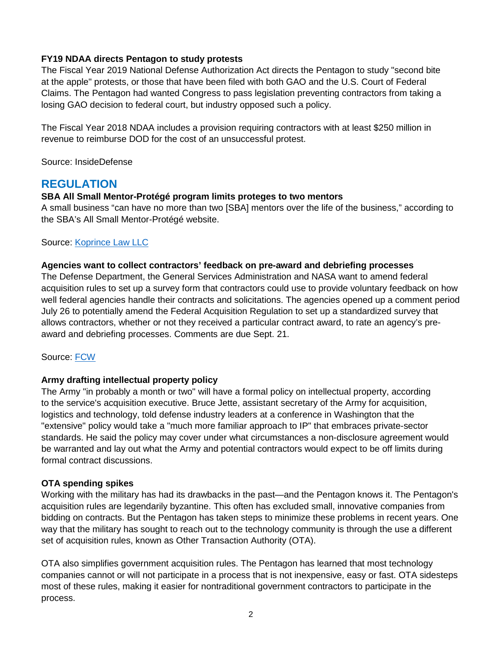## **FY19 NDAA directs Pentagon to study protests**

The Fiscal Year 2019 National Defense Authorization Act directs the Pentagon to study "second bite at the apple" protests, or those that have been filed with both GAO and the U.S. Court of Federal Claims. The Pentagon had wanted Congress to pass legislation preventing contractors from taking a losing GAO decision to federal court, but industry opposed such a policy.

The Fiscal Year 2018 NDAA includes a provision requiring contractors with at least \$250 million in revenue to reimburse DOD for the cost of an unsuccessful protest.

Source: InsideDefense

## **REGULATION**

### **SBA All Small Mentor-Protégé program limits proteges to two mentors**

A small business "can have no more than two [SBA] mentors over the life of the business," according to the SBA's All Small Mentor-Protégé website.

### Source: [Koprince Law LLC](http://smallgovcon.com/uncategorized/all-small-mentor-protege-sba-confirms-two-per-lifetime-limit/#more-10364)

#### **Agencies want to collect contractors' feedback on pre-award and debriefing processes**

The Defense Department, the General Services Administration and NASA want to amend federal acquisition rules to set up a survey form that contractors could use to provide voluntary feedback on how well federal agencies handle their contracts and solicitations. The agencies opened up a comment period July 26 to potentially amend the Federal Acquisition Regulation to set up a standardized survey that allows contractors, whether or not they received a particular contract award, to rate an agency's preaward and debriefing processes. Comments are due Sept. 21.

Source: [FCW](https://fcw.com/articles/2018/08/08/acquistion-feedback-rockwell.aspx)

### **Army drafting intellectual property policy**

The Army "in probably a month or two" will have a formal policy on intellectual property, according to the service's acquisition executive. Bruce Jette, assistant secretary of the Army for acquisition, logistics and technology, told defense industry leaders at a conference in Washington that the "extensive" policy would take a "much more familiar approach to IP" that embraces private-sector standards. He said the policy may cover under what circumstances a non-disclosure agreement would be warranted and lay out what the Army and potential contractors would expect to be off limits during formal contract discussions.

### **OTA spending spikes**

Working with the military has had its drawbacks in the past—and the Pentagon knows it. The Pentagon's acquisition rules are legendarily byzantine. This often has excluded small, innovative companies from bidding on contracts. But the Pentagon has taken steps to minimize these problems in recent years. One way that the military has sought to reach out to the technology community is through the use a different set of acquisition rules, known as Other Transaction Authority (OTA).

OTA also simplifies government acquisition rules. The Pentagon has learned that most technology companies cannot or will not participate in a process that is not inexpensive, easy or fast. OTA sidesteps most of these rules, making it easier for nontraditional government contractors to participate in the process.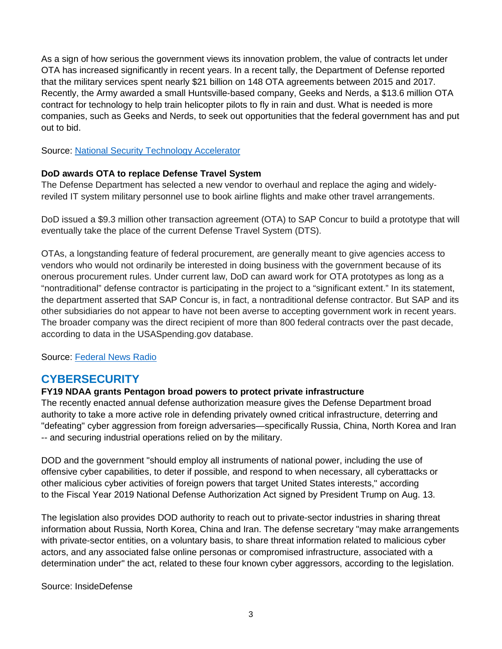As a sign of how serious the government views its innovation problem, the value of contracts let under OTA has increased significantly in recent years. In a recent tally, the Department of Defense reported that the military services spent nearly \$21 billion on 148 OTA agreements between 2015 and 2017. Recently, the Army awarded a small Huntsville-based company, Geeks and Nerds, a \$13.6 million OTA contract for technology to help train helicopter pilots to fly in rain and dust. What is needed is more companies, such as Geeks and Nerds, to seek out opportunities that the federal government has and put out to bid.

Source: [National Security Technology Accelerator](https://www.al.com/opinion/index.ssf/2018/08/uncle_sam_wants_alabamas_tech.html)

## **DoD awards OTA to replace Defense Travel System**

The Defense Department has selected a new vendor to overhaul and replace the aging and widelyreviled IT system military personnel use to book airline flights and make other travel arrangements.

DoD issued a \$9.3 million other transaction agreement (OTA) to SAP Concur to build a prototype that will eventually take the place of the current Defense Travel System (DTS).

OTAs, a longstanding feature of federal procurement, are generally meant to give agencies access to vendors who would not ordinarily be interested in doing business with the government because of its onerous procurement rules. Under current law, DoD can award work for OTA prototypes as long as a "nontraditional" defense contractor is participating in the project to a "significant extent." In its statement, the department asserted that SAP Concur is, in fact, a nontraditional defense contractor. But SAP and its other subsidiaries do not appear to have not been averse to accepting government work in recent years. The broader company was the direct recipient of more than 800 federal contracts over the past decade, according to data in the USASpending.gov database.

Source: [Federal News Radio](https://federalnewsradio.com/defense-main/2018/08/dod-picks-sap-to-replace-defense-travel-system/)

# **CYBERSECURITY**

## **FY19 NDAA grants Pentagon broad powers to protect private infrastructure**

The recently enacted annual defense authorization measure gives the Defense Department broad authority to take a more active role in defending privately owned critical infrastructure, deterring and "defeating" cyber aggression from foreign adversaries—specifically Russia, China, North Korea and Iran -- and securing industrial operations relied on by the military.

DOD and the government "should employ all instruments of national power, including the use of offensive cyber capabilities, to deter if possible, and respond to when necessary, all cyberattacks or other malicious cyber activities of foreign powers that target United States interests," according to the Fiscal Year 2019 National Defense Authorization Act signed by President Trump on Aug. 13.

The legislation also provides DOD authority to reach out to private-sector industries in sharing threat information about Russia, North Korea, China and Iran. The defense secretary "may make arrangements with private-sector entities, on a voluntary basis, to share threat information related to malicious cyber actors, and any associated false online personas or compromised infrastructure, associated with a determination under" the act, related to these four known cyber aggressors, according to the legislation.

Source: InsideDefense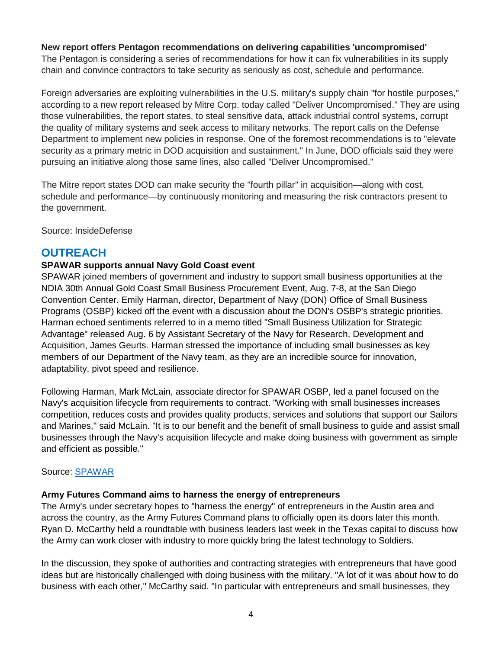## **New report offers Pentagon recommendations on delivering capabilities 'uncompromised'**

The Pentagon is considering a series of recommendations for how it can fix vulnerabilities in its supply chain and convince contractors to take security as seriously as cost, schedule and performance.

Foreign adversaries are exploiting vulnerabilities in the U.S. military's supply chain "for hostile purposes," according to a new report released by Mitre Corp. today called "Deliver Uncompromised." They are using those vulnerabilities, the report states, to steal sensitive data, attack industrial control systems, corrupt the quality of military systems and seek access to military networks. The report calls on the Defense Department to implement new policies in response. One of the foremost recommendations is to "elevate security as a primary metric in DOD acquisition and sustainment." In June, DOD officials said they were pursuing an initiative along those same lines, also called "Deliver Uncompromised."

The Mitre report states DOD can make security the "fourth pillar" in acquisition—along with cost, schedule and performance—by continuously monitoring and measuring the risk contractors present to the government.

Source: InsideDefense

## **OUTREACH**

## **SPAWAR supports annual Navy Gold Coast event**

SPAWAR joined members of government and industry to support small business opportunities at the NDIA 30th Annual Gold Coast Small Business Procurement Event, Aug. 7-8, at the San Diego Convention Center. Emily Harman, director, Department of Navy (DON) Office of Small Business Programs (OSBP) kicked off the event with a discussion about the DON's OSBP's strategic priorities. Harman echoed sentiments referred to in a memo titled "Small Business Utilization for Strategic Advantage" released Aug. 6 by Assistant Secretary of the Navy for Research, Development and Acquisition, James Geurts. Harman stressed the importance of including small businesses as key members of our Department of the Navy team, as they are an incredible source for innovation, adaptability, pivot speed and resilience.

Following Harman, Mark McLain, associate director for SPAWAR OSBP, led a panel focused on the Navy's acquisition lifecycle from requirements to contract. "Working with small businesses increases competition, reduces costs and provides quality products, services and solutions that support our Sailors and Marines," said McLain. "It is to our benefit and the benefit of small business to guide and assist small businesses through the Navy's acquisition lifecycle and make doing business with government as simple and efficient as possible."

### Source: [SPAWAR](http://www.navy.mil/submit/display.asp?story_id=106680)

### **Army Futures Command aims to harness the energy of entrepreneurs**

The Army's under secretary hopes to "harness the energy" of entrepreneurs in the Austin area and across the country, as the Army Futures Command plans to officially open its doors later this month. Ryan D. McCarthy held a roundtable with business leaders last week in the Texas capital to discuss how the Army can work closer with industry to more quickly bring the latest technology to Soldiers.

In the discussion, they spoke of authorities and contracting strategies with entrepreneurs that have good ideas but are historically challenged with doing business with the military. "A lot of it was about how to do business with each other," McCarthy said. "In particular with entrepreneurs and small businesses, they